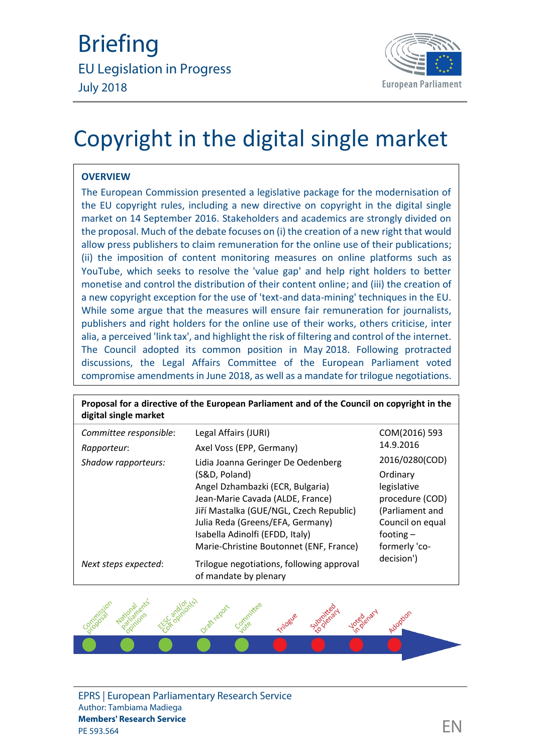

# Copyright in the digital single market

## **OVERVIEW**

The European Commission presented a legislative package for the modernisation of the EU copyright rules, including a new directive on copyright in the digital single market on 14 September 2016. Stakeholders and academics are strongly divided on the proposal. Much of the debate focuses on (i) the creation of a new right that would allow press publishers to claim remuneration for the online use of their publications; (ii) the imposition of content monitoring measures on online platforms such as YouTube, which seeks to resolve the 'value gap' and help right holders to better monetise and control the distribution of their content online; and (iii) the creation of a new copyright exception for the use of 'text-and data-mining' techniques in the EU. While some argue that the measures will ensure fair remuneration for journalists, publishers and right holders for the online use of their works, others criticise, inter alia, a perceived 'link tax', and highlight the risk of filtering and control of the internet. The Council adopted its common position in May 2018. Following protracted discussions, the Legal Affairs Committee of the European Parliament voted compromise amendments in June 2018, as well as a mandate for trilogue negotiations.

| digital single market  | Proposal for a directive of the European Parliament and of the Council on copyright in the |                  |
|------------------------|--------------------------------------------------------------------------------------------|------------------|
| Committee responsible: | Legal Affairs (JURI)                                                                       | COM(2016) 593    |
| Rapporteur:            | Axel Voss (EPP, Germany)                                                                   | 14.9.2016        |
| Shadow rapporteurs:    | Lidia Joanna Geringer De Oedenberg                                                         | 2016/0280(COD)   |
|                        | (S&D, Poland)                                                                              | Ordinary         |
|                        | Angel Dzhambazki (ECR, Bulgaria)                                                           | legislative      |
|                        | Jean-Marie Cavada (ALDE, France)                                                           | procedure (COD)  |
|                        | Jiří Mastalka (GUE/NGL, Czech Republic)                                                    | (Parliament and  |
|                        | Julia Reda (Greens/EFA, Germany)                                                           | Council on equal |
|                        | Isabella Adinolfi (EFDD, Italy)                                                            | footing $-$      |
|                        | Marie-Christine Boutonnet (ENF, France)                                                    | formerly 'co-    |
| Next steps expected:   | Trilogue negotiations, following approval<br>of mandate by plenary                         | decision')       |



EPRS | European Parliamentary Research Service Author: Tambiama Madiega **Members' Research Service** members Research Service<br>PE 593.564  $\Box$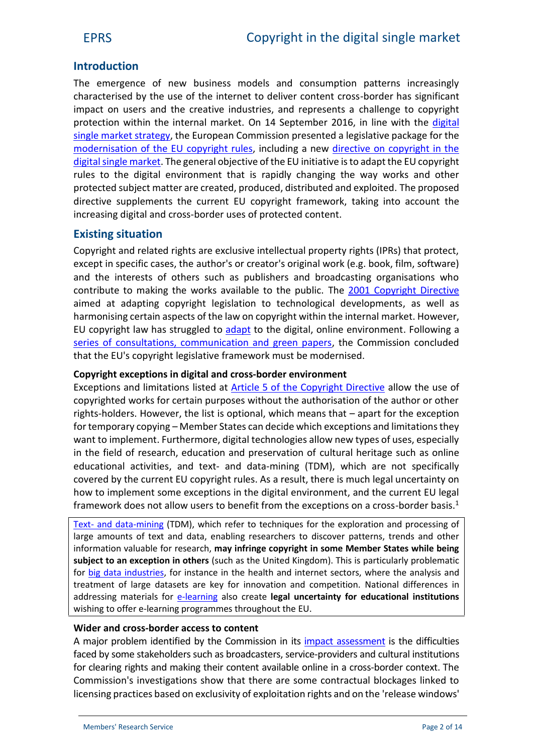# **Introduction**

The emergence of new business models and consumption patterns increasingly characterised by the use of the internet to deliver content cross-border has significant impact on users and the creative industries, and represents a challenge to copyright protection within the internal market. On 14 September 2016, in line with the [digital](http://eur-lex.europa.eu/legal-content/EN/TXT/?qid=1447773803386&uri=CELEX:52015DC0192) single [market strategy,](http://eur-lex.europa.eu/legal-content/EN/TXT/?qid=1447773803386&uri=CELEX:52015DC0192) the European Commission presented a legislative package for the [modernisation of the EU](https://ec.europa.eu/digital-single-market/en/modernisation-eu-copyright-rules?utm_source=twitter&utm_medium=social&utm_content=Digital%20Single%20Market&utm_campaign=copyright) copyright rules, including a new [directive on copyright in the](https://ec.europa.eu/digital-single-market/en/news/proposal-directive-european-parliament-and-council-copyright-digital-single-market) digital single market. The general objective of the EU initiative is to adapt the EU copyright rules to the digital environment that is rapidly changing the way works and other protected subject matter are created, produced, distributed and exploited. The proposed directive supplements the current EU copyright framework, taking into account the increasing digital and cross-border uses of protected content.

# **Existing situation**

Copyright and related rights are exclusive intellectual property rights (IPRs) that protect, except in specific cases, the author's or creator's original work (e.g. book, film, software) and the interests of others such as publishers and broadcasting organisations who contribute to making the works available to the public. The [2001 Copyright Directive](http://eur-lex.europa.eu/legal-content/EN/TXT/?uri=celex:32001L0029) aimed at adapting copyright legislation to technological developments, as well as harmonising certain aspects of the law on copyright within the internal market. However, EU copyright law has struggled to [adapt](http://www.europarl.europa.eu/RegData/etudes/note/join/2014/536333/IPOL-IMPT_NT(2014)536333_EN.pdf) to the digital, online environment. Following a [series of consultations, communication and green papers,](http://ec.europa.eu/internal_market/copyright/copyright-infso/index_en.htm) the Commission concluded that the EU's copyright legislative framework must be modernised.

## **Copyright exceptions in digital and cross-border environment**

Exceptions and limitations listed at [Article 5 of the Copyright Directive](http://bit.ly/1KJGGLk) allow the use of copyrighted works for certain purposes without the authorisation of the author or other rights-holders. However, the list is optional, which means that – apart for the exception for temporary copying – Member States can decide which exceptions and limitations they want to implement. Furthermore, digital technologies allow new types of uses, especially in the field of research, education and preservation of cultural heritage such as online educational activities, and text- and data-mining (TDM), which are not specifically covered by the current EU copyright rules. As a result, there is much legal uncertainty on how to implement some exceptions in the digital environment, and the current EU legal framework does not allow users to benefit from the exceptions on a cross-border basis.<sup>1</sup>

Text- [and data-mining](http://www.copyrightuser.org/understand/exceptions/text-data-mining/) (TDM), which refer to techniques for the exploration and processing of large amounts of text and data, enabling researchers to discover patterns, trends and other information valuable for research, **may infringe copyright in some Member States while being subject to an exception in others** (such as the United Kingdom). This is particularly problematic for [big data industries,](http://www.mckinsey.com/insights/business_technology/big_data_the_next_frontier_for_innovation) for instance in the health and internet sectors, where the analysis and treatment of large datasets are key for innovation and competition. National differences in addressing materials for **[e-learning](http://bit.ly/1P17OLU)** also create **legal uncertainty for educational institutions** wishing to offer e-learning programmes throughout the EU.

#### **Wider and cross-border access to content**

A major problem identified by the Commission in its [impact assessment](https://ec.europa.eu/digital-single-market/en/news/impact-assessment-modernisation-eu-copyright-rules) is the difficulties faced by some stakeholders such as broadcasters, service-providers and cultural institutions for clearing rights and making their content available online in a cross-border context. The Commission's investigations show that there are some contractual blockages linked to licensing practices based on exclusivity of exploitation rights and on the 'release windows'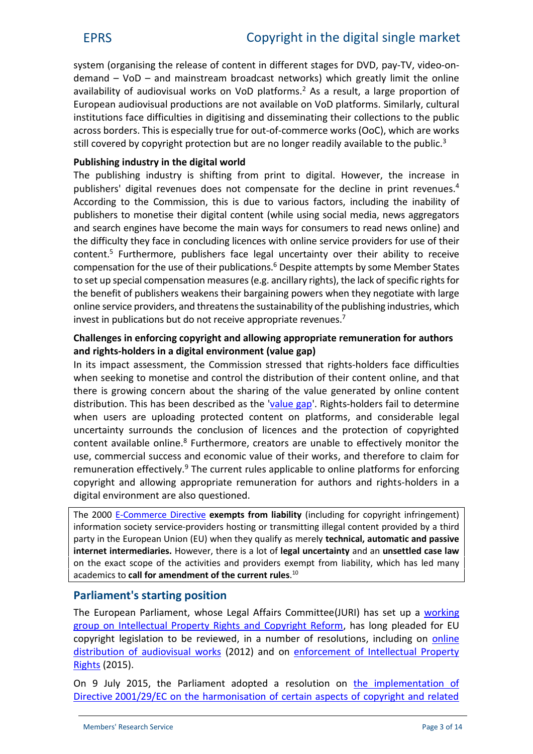system (organising the release of content in different stages for DVD, pay-TV, video-on  $d$ emand – VoD – and mainstream broadcast networks) which greatly limit the online availability of audiovisual works on VoD platforms.<sup>2</sup> As a result, a large proportion of European audiovisual productions are not available on VoD platforms. Similarly, cultural institutions face difficulties in digitising and disseminating their collections to the public across borders. This is especially true for out-of-commerce works (OoC), which are works still covered by copyright protection but are no longer readily available to the public.<sup>3</sup>

# **Publishing industry in the digital world**

The publishing industry is shifting from print to digital. However, the increase in publishers' digital revenues does not compensate for the decline in print revenues.<sup>4</sup> According to the Commission, this is due to various factors, including the inability of publishers to monetise their digital content (while using social media, news aggregators and search engines have become the main ways for consumers to read news online) and the difficulty they face in concluding licences with online service providers for use of their content.<sup>5</sup> Furthermore, publishers face legal uncertainty over their ability to receive compensation for the use of their publications.<sup>6</sup> Despite attempts by some Member States to set up special compensation measures (e.g. ancillary rights), the lack of specific rights for the benefit of publishers weakens their bargaining powers when they negotiate with large online service providers, and threatensthe sustainability of the publishing industries, which invest in publications but do not receive appropriate revenues.<sup>7</sup>

## **Challenges in enforcing copyright and allowing appropriate remuneration for authors and rights-holders in a digital environment (value gap)**

In its impact assessment, the Commission stressed that rights-holders face difficulties when seeking to monetise and control the distribution of their content online, and that there is growing concern about the sharing of the value generated by online content distribution. This has been described as the ['value gap](http://copyrightblog.kluweriplaw.com/2016/10/06/eu-copyright-reform-outside-safe-harbours-intermediary-liability-capsizes-incoherence/?_ga=2.230209564.1213293013.1530093217-1891693461.1522835896)'. Rights-holders fail to determine when users are uploading protected content on platforms, and considerable legal uncertainty surrounds the conclusion of licences and the protection of copyrighted content available online.<sup>8</sup> Furthermore, creators are unable to effectively monitor the use, commercial success and economic value of their works, and therefore to claim for remuneration effectively.<sup>9</sup> The current rules applicable to online platforms for enforcing copyright and allowing appropriate remuneration for authors and rights-holders in a digital environment are also questioned.

The 2000 [E-Commerce Directive](http://eur-lex.europa.eu/legal-content/EN/TXT/?uri=celex:32000L0031) **exempts from liability** (including for copyright infringement) information society service-providers hosting or transmitting illegal content provided by a third party in the European Union (EU) when they qualify as merely **technical, automatic and passive internet intermediaries.** However, there is a lot of **legal uncertainty** and an **unsettled case law** on the exact scope of the activities and providers exempt from liability, which has led many academics to **call for amendment of the current rules**.<sup>10</sup>

# **Parliament's starting position**

The European Parliament, whose Legal Affairs Committee(JURI) has set up a [working](http://www.jurinet.ep.parl.union.eu/jurinet/cms/cache/offonce/home/menu_previous_leg/working_groups_1/copyright_1/working_documents_WGcopy_1) [group on Intellectual Property Rights and Copyright Reform,](http://www.jurinet.ep.parl.union.eu/jurinet/cms/cache/offonce/home/menu_previous_leg/working_groups_1/copyright_1/working_documents_WGcopy_1) has long pleaded for EU copyright legislation to be reviewed, in a number of resolutions, including on [online](http://www.europarl.europa.eu/sides/getDoc.do?pubRef=-//EP//TEXT+TA+P7-TA-2012-0324+0+DOC+XML+V0//EN) distribution [of audiovisual works](http://www.europarl.europa.eu/sides/getDoc.do?pubRef=-//EP//TEXT+TA+P7-TA-2012-0324+0+DOC+XML+V0//EN) (2012) and on [enforcement of Intellectual Property](http://www.europarl.europa.eu/sides/getDoc.do?type=TA&language=EN&reference=P8-TA-2015-0220) [Rights](http://www.europarl.europa.eu/sides/getDoc.do?type=TA&language=EN&reference=P8-TA-2015-0220) (2015).

On 9 July 2015, the Parliament adopted a resolution on [the implementation of](http://www.europarl.europa.eu/sides/getDoc.do?type=TA&language=EN&reference=P8-TA-2015-0273) Directive [2001/29/EC on the harmonisation of certain aspects of copyright and related](http://www.europarl.europa.eu/sides/getDoc.do?type=TA&language=EN&reference=P8-TA-2015-0273)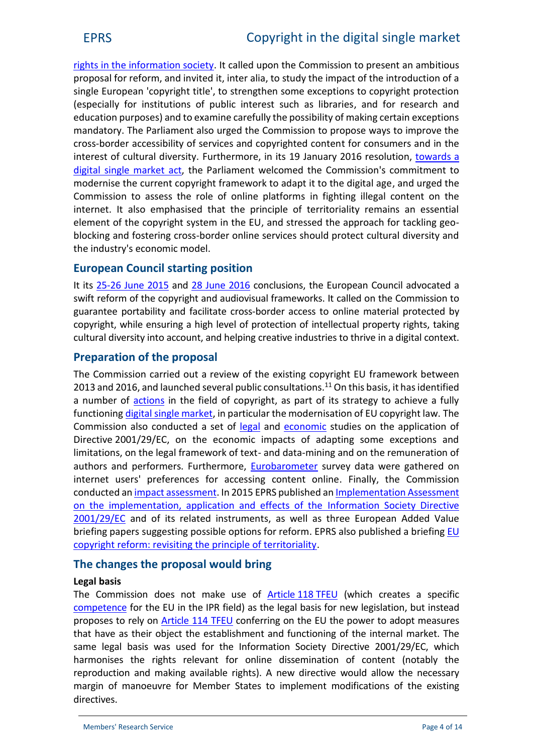[rights in the information society.](http://www.europarl.europa.eu/sides/getDoc.do?type=TA&language=EN&reference=P8-TA-2015-0273) It called upon the Commission to present an ambitious proposal for reform, and invited it, inter alia, to study the impact of the introduction of a single European 'copyright title', to strengthen some exceptions to copyright protection (especially for institutions of public interest such as libraries, and for research and education purposes) and to examine carefully the possibility of making certain exceptions mandatory. The Parliament also urged the Commission to propose ways to improve the cross-border accessibility of services and copyrighted content for consumers and in the interest of cultural diversity. Furthermore, in its 19 January 2016 resolution, [towards a](http://www.europarl.europa.eu/sides/getDoc.do?type=TA&reference=P8-TA-2016-0009&language=EN&ring=A8-2015-0371) digital [single market](http://www.europarl.europa.eu/sides/getDoc.do?type=TA&reference=P8-TA-2016-0009&language=EN&ring=A8-2015-0371) act, the Parliament welcomed the Commission's commitment to modernise the current copyright framework to adapt it to the digital age, and urged the Commission to assess the role of online platforms in fighting illegal content on the internet. It also emphasised that the principle of territoriality remains an essential element of the copyright system in the EU, and stressed the approach for tackling geo blocking and fostering cross-border online services should protect cultural diversity and the industry's economic model.

# **European Council starting position**

It its [25-26 June 2015](http://www.consilium.europa.eu/en/press/press-releases/2015/06/26-euco-conclusions/) and [28 June 2016](http://www.consilium.europa.eu/en/press/press-releases/2016/06/28-euco-conclusions/) conclusions, the European Council advocated a swift reform of the copyright and audiovisual frameworks. It called on the Commission to guarantee portability and facilitate cross-border access to online material protected by copyright, while ensuring a high level of protection of intellectual property rights, taking cultural diversity into account, and helping creative industries to thrive in a digital context.

# **Preparation of the proposal**

The Commission carried out a review of the existing copyright EU framework between 2013 and 2016, and launched several public consultations.<sup>11</sup> On this basis, it has identified a number of [actions](http://ec.europa.eu/priorities/digital-single-market_en) in the field of copyright, as part of its strategy to achieve a fully functioning digital single [market,](http://ec.europa.eu/priorities/digital-single-market_en) in particular the modernisation of EU copyright law. The Commission also conducted a set of [legal](http://ec.europa.eu/internal_market/copyright/studies/index_en.htm) and [economic](http://ec.europa.eu/internal_market/copyright/docs/studies/131001-study_en.pdf) studies on the application of Directive 2001/29/EC, on the economic impacts of adapting some exceptions and limitations, on the legal framework of text- and data-mining and on the remuneration of authors and performers. Furthermore, [Eurobarometer](https://ec.europa.eu/digital-single-market/en/news/eurobarometer-internet-users-preferences-accessing-content-online) survey data were gathered on internet users' preferences for accessing content online. Finally, the Commission conducted an impact [assessment](https://ec.europa.eu/digital-single-market/en/news/impact-assessment-modernisation-eu-copyright-rules). In 2015 EPRS published an [Implementation Assessment](http://www.europarl.europa.eu/RegData/etudes/STUD/2015/558762/EPRS_STU(2015)558762_EN.pdf) [on the implementation, application and effects of the](http://www.europarl.europa.eu/RegData/etudes/STUD/2015/558762/EPRS_STU(2015)558762_EN.pdf) Information Society Directive [2001/29/EC](http://www.europarl.europa.eu/RegData/etudes/STUD/2015/558762/EPRS_STU(2015)558762_EN.pdf) and of its related instruments, as well as three European Added Value briefing papers suggesting possible options for reform. EPRS also published a briefing [EU](http://www.europarl.europa.eu/RegData/etudes/BRIE/2015/568348/EPRS_BRI%282015%29568348_EN.pdf) [copyright reform: revisiting the principle of territoriality.](http://www.europarl.europa.eu/RegData/etudes/BRIE/2015/568348/EPRS_BRI%282015%29568348_EN.pdf)

# **The changes the proposal would bring**

## **Legal basis**

The Commission does not make use of [Article](http://www.lisbon-treaty.org/wcm/the-lisbon-treaty/treaty-on-the-functioning-of-the-european-union-and-comments/part-3-union-policies-and-internal-actions/title-vii-common-rules-on-competition-taxation-and-approximation-of-laws/chapter-3-approximation-of-laws/386-article-118.html) 118 TFEU (which creates a specific [competence](http://bit.ly/1Jybs8V) for the EU in the IPR field) as the legal basis for new legislation, but instead proposes to rely on **[Article 114 TFEU](http://eur-lex.europa.eu/legal-content/EN/TXT/HTML/?uri=CELEX:12008E114&from=EN)** conferring on the EU the power to adopt measures that have as their object the establishment and functioning of the internal market. The same legal basis was used for the Information Society Directive 2001/29/EC, which harmonises the rights relevant for online dissemination of content (notably the reproduction and making available rights). A new directive would allow the necessary margin of manoeuvre for Member States to implement modifications of the existing directives.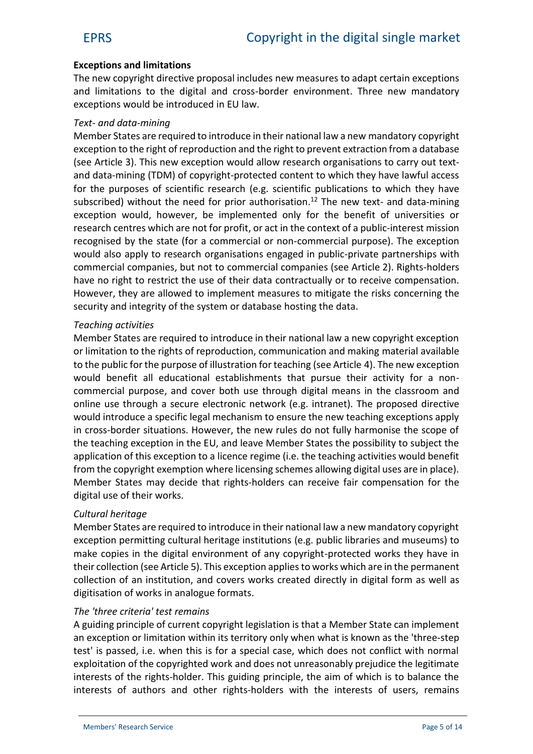## **Exceptions and limitations**

The new copyright directive proposal includes new measures to adapt certain exceptions and limitations to the digital and cross-border environment. Three new mandatory exceptions would be introduced in EU law.

#### *Text- and data-mining*

Member States are required to introduce in their national law a new mandatory copyright exception to the right of reproduction and the right to prevent extraction from a database (see Article 3). This new exception would allow research organisations to carry out text and data-mining (TDM) of copyright-protected content to which they have lawful access for the purposes of scientific research (e.g. scientific publications to which they have subscribed) without the need for prior authorisation.<sup>12</sup> The new text- and data-mining exception would, however, be implemented only for the benefit of universities or research centres which are not for profit, or act in the context of a public-interest mission recognised by the state (for a commercial or non-commercial purpose). The exception would also apply to research organisations engaged in public-private partnerships with commercial companies, but not to commercial companies (see Article 2). Rights-holders have no right to restrict the use of their data contractually or to receive compensation. However, they are allowed to implement measures to mitigate the risks concerning the security and integrity of the system or database hosting the data.

#### *Teaching activities*

Member States are required to introduce in their national law a new copyright exception or limitation to the rights of reproduction, communication and making material available to the public for the purpose of illustration for teaching (see Article 4). The new exception would benefit all educational establishments that pursue their activity for a non commercial purpose, and cover both use through digital means in the classroom and online use through a secure electronic network (e.g. intranet). The proposed directive would introduce a specific legal mechanism to ensure the new teaching exceptions apply in cross-border situations. However, the new rules do not fully harmonise the scope of the teaching exception in the EU, and leave Member States the possibility to subject the application of this exception to a licence regime (i.e. the teaching activities would benefit from the copyright exemption where licensing schemes allowing digital uses are in place). Member States may decide that rights-holders can receive fair compensation for the digital use of their works.

#### *Cultural heritage*

Member States are required to introduce in their national law a new mandatory copyright exception permitting cultural heritage institutions (e.g. public libraries and museums) to make copies in the digital environment of any copyright-protected works they have in their collection (see Article 5). This exception appliesto works which are in the permanent collection of an institution, and covers works created directly in digital form as well as digitisation of works in analogue formats.

#### *The 'three criteria' test remains*

A guiding principle of current copyright legislation is that a Member State can implement an exception or limitation within its territory only when what is known as the 'three-step test' is passed, i.e. when this is for a special case, which does not conflict with normal exploitation of the copyrighted work and does not unreasonably prejudice the legitimate interests of the rights-holder. This guiding principle, the aim of which is to balance the interests of authors and other rights-holders with the interests of users, remains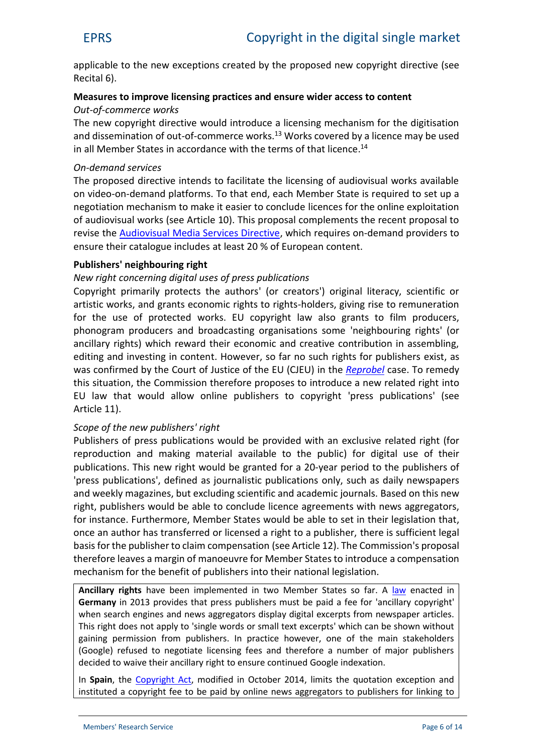applicable to the new exceptions created by the proposed new copyright directive (see Recital 6).

# **Measures to improve licensing practices and ensure wider access to content**

## *Out-of-commerce works*

The new copyright directive would introduce a licensing mechanism for the digitisation and dissemination of out-of-commerce works.<sup>13</sup> Works covered by a licence may be used in all Member States in accordance with the terms of that licence.<sup>14</sup>

## *On-demand services*

The proposed directive intends to facilitate the licensing of audiovisual works available on video-on-demand platforms. To that end, each Member State is required to set up a negotiation mechanism to make it easier to conclude licences for the online exploitation of audiovisual works (see Article 10). This proposal complements the recent proposal to revise the [Audiovisual Media Services Directive,](https://ec.europa.eu/digital-single-market/en/news/proposal-updated-audiovisual-media-services-directive) which requires on-demand providers to ensure their catalogue includes at least 20 % of European content.

## **Publishers' neighbouring right**

## *New right concerning digital uses of press publications*

Copyright primarily protects the authors' (or creators') original literacy, scientific or artistic works, and grants economic rights to rights-holders, giving rise to remuneration for the use of protected works. EU copyright law also grants to film producers, phonogram producers and broadcasting organisations some 'neighbouring rights' (or ancillary rights) which reward their economic and creative contribution in assembling, editing and investing in content. However, so far no such rights for publishers exist, as was confirmed by the Court of Justice of the EU (CJEU) in the *[Reprobel](http://curia.europa.eu/juris/document/document.jsf?text=&docid=171384&pageIndex=0&doclang=en&mode=lst&dir=&occ=first&part=1&cid=162659)* case. To remedy this situation, the Commission therefore proposes to introduce a new related right into EU law that would allow online publishers to copyright 'press publications' (see Article 11).

#### *Scope of the new publishers' right*

Publishers of press publications would be provided with an exclusive related right (for reproduction and making material available to the public) for digital use of their publications. This new right would be granted for a 20-year period to the publishers of 'press publications', defined as journalistic publications only, such as daily newspapers and weekly magazines, but excluding scientific and academic journals. Based on this new right, publishers would be able to conclude licence agreements with news aggregators, for instance. Furthermore, Member States would be able to set in their legislation that, once an author has transferred or licensed a right to a publisher, there is sufficient legal basis for the publisher to claim compensation (see Article 12). The Commission's proposal therefore leaves a margin of manoeuvre for Member States to introduce a compensation mechanism for the benefit of publishers into their national legislation.

**Ancillary rights** have been implemented in two Member States so far. A [law](https://www.gesetze-im-internet.de/englisch_urhg/englisch_urhg.html) enacted in **Germany** in 2013 provides that press publishers must be paid a fee for 'ancillary copyright' when search engines and news aggregators display digital excerpts from newspaper articles. This right does not apply to 'single words or small text excerpts' which can be shown without gaining permission from publishers. In practice however, one of the main stakeholders (Google) refused to negotiate licensing fees and therefore a number of major publishers decided to waive their ancillary right to ensure continued Google indexation.

In **Spain**, the [Copyright Act,](https://www.boe.es/boe/dias/2014/11/05/pdfs/BOE-A-2014-11404.pdf) modified in October 2014, limits the quotation exception and instituted a copyright fee to be paid by online news aggregators to publishers for linking to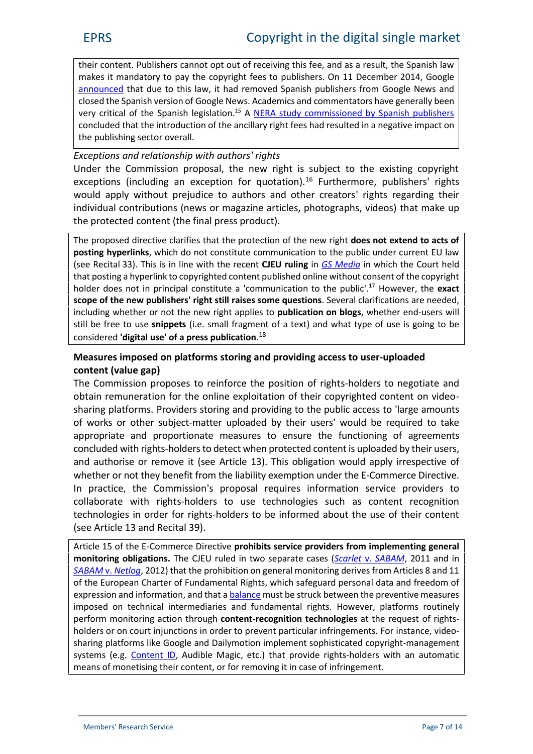their content. Publishers cannot opt out of receiving this fee, and as a result, the Spanish law makes it mandatory to pay the copyright fees to publishers. On 11 December 2014, Google [announced](https://europe.googleblog.com/2014/12/an-update-on-google-news-in-spain.html) that due to this law, it had removed Spanish publishers from Google News and closed the Spanish version of Google News. Academics and commentators have generally been very critical of the Spanish legislation.<sup>15</sup> A [NERA study commissioned by Spanish publishers](http://www.aeepp.com/pdf/InformeNera.pdf) concluded that the introduction of the ancillary right fees had resulted in a negative impact on the publishing sector overall.

## *Exceptions and relationship with authors' rights*

Under the Commission proposal, the new right is subject to the existing copyright exceptions (including an exception for quotation).<sup>16</sup> Furthermore, publishers' rights would apply without prejudice to authors and other creators' rights regarding their individual contributions (news or magazine articles, photographs, videos) that make up the protected content (the final press product).

The proposed directive clarifies that the protection of the new right **does not extend to acts of posting hyperlinks**, which do not constitute communication to the public under current EU law (see Recital 33). This is in line with the recent **CJEU ruling** in *GS [Media](http://curia.europa.eu/juris/document/document.jsf?docid=183124&doclang=EN)* in which the Court held that posting a hyperlink to copyrighted content published online without consent of the copyright holder does not in principal constitute a 'communication to the public'.<sup>17</sup> However, the **exact scope of the new publishers' right still raises some questions**. Several clarifications are needed, including whether or not the new right applies to **publication on blogs**, whether end-users will still be free to use **snippets** (i.e. small fragment of a text) and what type of use is going to be considered **'digital use' of a press publication**.<sup>18</sup>

## **Measures imposed on platforms storing and providing access to user-uploaded content (value gap)**

The Commission proposes to reinforce the position of rights-holders to negotiate and obtain remuneration for the online exploitation of their copyrighted content on video sharing platforms. Providers storing and providing to the public access to 'large amounts of works or other subject-matter uploaded by their users' would be required to take appropriate and proportionate measures to ensure the functioning of agreements concluded with rights-holders to detect when protected content is uploaded by their users, and authorise or remove it (see Article 13). This obligation would apply irrespective of whether or not they benefit from the liability exemption under the E-Commerce Directive. In practice, the Commission's proposal requires information service providers to collaborate with rights-holders to use technologies such as content recognition technologies in order for rights-holders to be informed about the use of their content (see Article 13 and Recital 39).

Article 15 of the E-Commerce Directive **prohibits service providers from implementing general monitoring obligations.** The CJEU ruled in two separate cases (*Scarlet* v. *[SABAM](http://curia.europa.eu/juris/document/document.jsf?text=&docid=115202&pageIndex=0&doclang=EN&mode=doc&dir=&occ=first&part=1&cid=996022)*, 2011 and in *[SABAM](http://curia.europa.eu/juris/document/document.jsf?text=&docid=119512&pageIndex=0&doclang=EN&mode=doc&dir=&occ=first&part=1&cid=996174)* v. *Netlog*, 2012) that the prohibition on general monitoring derives from Articles 8 and 11 of the European Charter of Fundamental Rights, which safeguard personal data and freedom of expression and information, and that a [balance](http://kluwercopyrightblog.com/2012/02/20/sabam-v-netlog-cjeu-c-36010-as-expected/) must be struck between the preventive measures imposed on technical intermediaries and fundamental rights. However, platforms routinely perform monitoring action through **content-recognition technologies** at the request of rights holders or on court injunctions in order to prevent particular infringements. For instance, video sharing platforms like Google and Dailymotion implement sophisticated copyright-management systems (e.g. [Content ID,](https://support.google.com/youtube/answer/2797370?hl=en) Audible Magic, etc.) that provide rights-holders with an automatic means of monetising their content, or for removing it in case of infringement.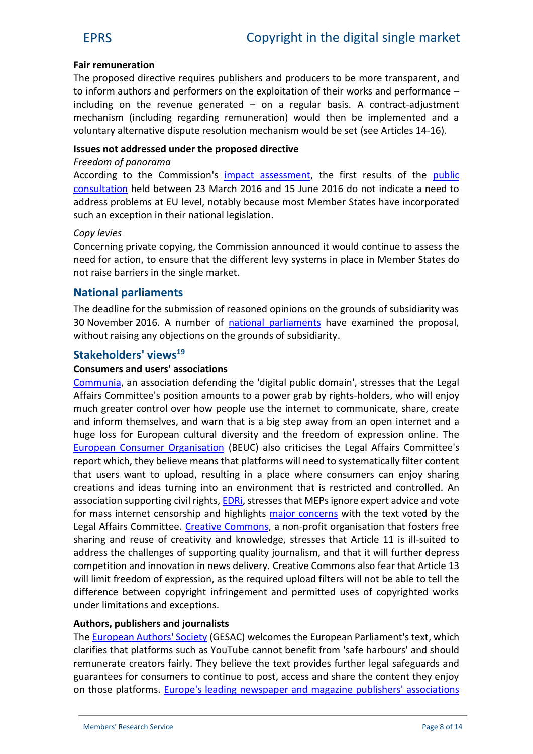#### **Fair remuneration**

The proposed directive requires publishers and producers to be more transparent, and to inform authors and performers on the exploitation of their works and performance – including on the revenue generated  $-$  on a regular basis. A contract-adjustment mechanism (including regarding remuneration) would then be implemented and a voluntary alternative dispute resolution mechanism would be set (see Articles 14-16).

#### **Issues not addressed under the proposed directive**

#### *Freedom of panorama*

According to the Commission's [impact assessment,](https://ec.europa.eu/digital-single-market/en/news/impact-assessment-modernisation-eu-copyright-rules) the first results of the [public](https://ec.europa.eu/digital-single-market/en/news/public-consultation-role-publishers-copyright-value-chain-and-panorama-exception) [consultation](https://ec.europa.eu/digital-single-market/en/news/public-consultation-role-publishers-copyright-value-chain-and-panorama-exception) held between 23 March 2016 and 15 June 2016 do not indicate a need to address problems at EU level, notably because most Member States have incorporated such an exception in their national legislation.

#### *Copy levies*

Concerning private copying, the Commission announced it would continue to assess the need for action, to ensure that the different levy systems in place in Member States do not raise barriers in the single market.

## **National parliaments**

The deadline for the submission of reasoned opinions on the grounds of subsidiarity was 30 November 2016. A number of [national parliaments](http://www.ipex.eu/IPEXL-WEB/dossier/document/COM20160593.do) have examined the proposal, without raising any objections on the grounds of subsidiarity.

## **Stakeholders' views<sup>19</sup>**

#### **Consumers and users' associations**

[Communia,](https://www.communia-association.org/tag/copyright-reform/) an association defending the 'digital public domain', stresses that the Legal Affairs Committee's position amounts to a power grab by rights-holders, who will enjoy much greater control over how people use the internet to communicate, share, create and inform themselves, and warn that is a big step away from an open internet and a huge loss for European cultural diversity and the freedom of expression online. The [European Consumer Organisation](http://www.beuc.eu/publications/meps-let-consumers-down-copyright/html) (BEUC) also criticises the Legal Affairs Committee's report which, they believe means that platforms will need to systematically filter content that users want to upload, resulting in a place where consumers can enjoy sharing creations and ideas turning into an environment that is restricted and controlled. An association supporting civil rights, **EDRi**, stresses that MEPs ignore expert advice and vote for mass internet censorship and highlights [major concerns](https://edri.org/files/copyright/20180626-ReDeconstructing_Article13.pdf) with the text voted by the Legal Affairs Committee. [Creative Commons,](https://creativecommons.org/2018/06/20/european-parliaments-legal-affairs-committee-gives-green-light-to-harmful-link-tax-and-pervasive-platform-censorship/) a non-profit organisation that fosters free sharing and reuse of creativity and knowledge, stresses that Article 11 is ill-suited to address the challenges of supporting quality journalism, and that it will further depress competition and innovation in news delivery. Creative Commons also fear that Article 13 will limit freedom of expression, as the required upload filters will not be able to tell the difference between copyright infringement and permitted uses of copyrighted works under limitations and exceptions.

#### **Authors, publishers and journalists**

The [European Authors'](http://authorsocieties.eu/mediaroom/313/33/Copyright-Directive-GESAC-welcomes-JURI-vote-that-adopted-Article-13) Society (GESAC) welcomes the European Parliament's text, which clarifies that platforms such as YouTube cannot benefit from 'safe harbours' and should remunerate creators fairly. They believe the text provides further legal safeguards and guarantees for consumers to continue to post, access and share the content they enjoy on those platforms. [Europe's leading](http://www.enpa.eu/news/europes-publishers-applaud-meps-support-free-press) newspaper and magazine publishers' associations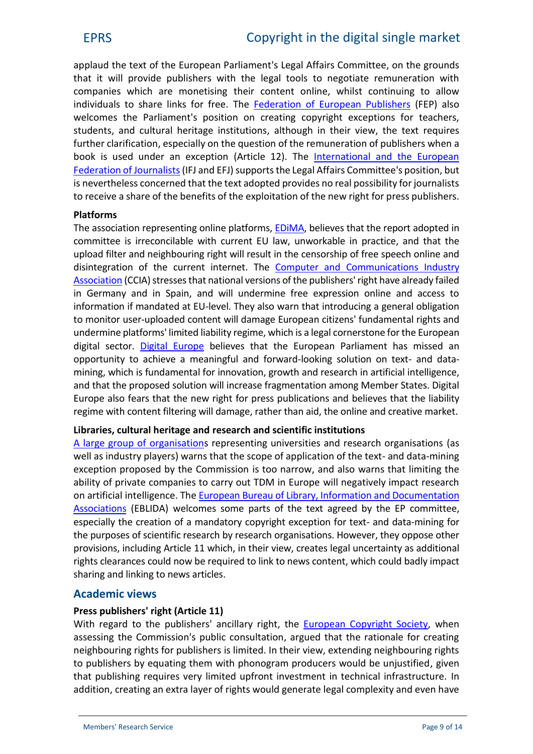applaud the text of the European Parliament's Legal Affairs Committee, on the grounds that it will provide publishers with the legal tools to negotiate remuneration with companies which are monetising their content online, whilst continuing to allow individuals to share links for free. The [Federation of European Publishers](https://fep-fee.eu/PRESS-RELEASE-956) (FEP) also welcomes the Parliament's position on creating copyright exceptions for teachers, students, and cultural heritage institutions, although in their view, the text requires further clarification, especially on the question of the remuneration of publishers when a book is used under an exception (Article 12). The [International and the European](https://europeanjournalists.org/blog/2018/06/21/ep-vote-on-copyright-directive-some-ups-and-downs/) [Federation of Journalists](https://europeanjournalists.org/blog/2018/06/21/ep-vote-on-copyright-directive-some-ups-and-downs/) (IFJ and EFJ) supports the Legal Affairs Committee's position, but is nevertheless concerned that the text adopted provides no real possibility for journalists to receive a share of the benefits of the exploitation of the new right for press publishers.

## **Platforms**

The association representing online platforms, [EDiMA,](http://edima-eu.org/wp-content/uploads/2018/06/EDiMA-reaction-to-JURI-Committee-vote-on-copyright.pdf) believes that the report adopted in committee is irreconcilable with current EU law, unworkable in practice, and that the upload filter and neighbouring right will result in the censorship of free speech online and disintegration of the current internet. The **[Computer and Communications Industry](http://www.ccianet.org/2018/06/european-parliament-committee-vote-on-copyright-ignores-warnings-from-academics-civil-rights-groups-and-online-sector/)** [Association](http://www.ccianet.org/2018/06/european-parliament-committee-vote-on-copyright-ignores-warnings-from-academics-civil-rights-groups-and-online-sector/) (CCIA) stresses that national versions of the publishers'right have already failed in Germany and in Spain, and will undermine free expression online and access to information if mandated at EU-level. They also warn that introducing a general obligation to monitor user-uploaded content will damage European citizens' fundamental rights and undermine platforms' limited liability regime, which is a legal cornerstone for the European digital sector. [Digital Europe](http://www.digitaleurope.org/DesktopModules/Bring2mind/DMX/Download.aspx?Command=Core_Download&entryID=2689&language=en-US&PortalId=0&TabId=353) believes that the European Parliament has missed an opportunity to achieve a meaningful and forward-looking solution on text- and data mining, which is fundamental for innovation, growth and research in artificial intelligence, and that the proposed solution will increase fragmentation among Member States. Digital Europe also fears that the new right for press publications and believes that the liability regime with content filtering will damage, rather than aid, the online and creative market.

#### **Libraries, cultural heritage and research and scientific institutions**

[A large group of](http://eare.eu/assets/uploads/2018/03/OpenLetter-to-JURI-Committee-on-TDM_26March2018.pdf) organisations representing universities and research organisations (as well as industry players) warns that the scope of application of the text- and data-mining exception proposed by the Commission is too narrow, and also warns that limiting the ability of private companies to carry out TDM in Europe will negatively impact research on artificial intelligence. The [European Bureau of Library, Information and Documentation](http://www.eblida.org/news/shambolic-juri-committee-vote-on-copyright.html) [Associations](http://www.eblida.org/news/shambolic-juri-committee-vote-on-copyright.html) (EBLIDA) welcomes some parts of the text agreed by the EP committee, especially the creation of a mandatory copyright exception for text- and data-mining for the purposes of scientific research by research organisations. However, they oppose other provisions, including Article 11 which, in their view, creates legal uncertainty as additional rights clearances could now be required to link to news content, which could badly impact sharing and linking to news articles.

## **Academic views**

## **Press publishers' right (Article 11)**

With regard to the publishers' ancillary right, the [European Copyright Society,](https://zenodo.org/record/56650/files/CREATe-Working-Paper-2016-09.pdf) when assessing the Commission's public consultation, argued that the rationale for creating neighbouring rights for publishers is limited. In their view, extending neighbouring rights to publishers by equating them with phonogram producers would be unjustified, given that publishing requires very limited upfront investment in technical infrastructure. In addition, creating an extra layer of rights would generate legal complexity and even have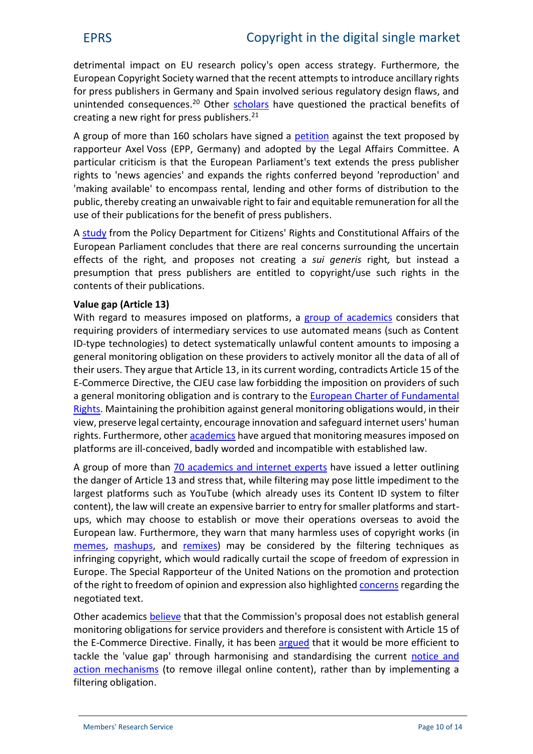detrimental impact on EU research policy's open access strategy. Furthermore, the European Copyright Society warned that the recent attempts to introduce ancillary rights for press publishers in Germany and Spain involved serious regulatory design flaws, and unintended consequences.<sup>20</sup> Other [scholars](http://ipkitten.blogspot.be/2016/10/the-proposed-press-publishers-right-is.html) have questioned the practical benefits of creating a new right for press publishers.<sup>21</sup>

A group of more than 160 scholars have signed a [petition](https://www.ivir.nl/academics-against-press-publishers-right/) against the text proposed by rapporteur Axel Voss (EPP, Germany) and adopted by the Legal Affairs Committee. A particular criticism is that the European Parliament's text extends the press publisher rights to 'news agencies' and expands the rights conferred beyond 'reproduction' and 'making available' to encompass rental, lending and other forms of distribution to the public, thereby creating an unwaivable right to fair and equitable remuneration for all the use of their publications for the benefit of press publishers.

A [study](http://www.europarl.europa.eu/RegData/etudes/STUD/2017/596810/IPOL_STU%282017%29596810_EN.pdf) from the Policy Department for Citizens' Rights and Constitutional Affairs of the European Parliament concludes that there are real concerns surrounding the uncertain effects of the right*,* and propose*s* not creating a *sui generis* right*,* but instead a presumption that press publishers are entitled to copyright/use such rights in the contents of their publications.

## **Value gap (Article 13)**

With regard to measures imposed on platforms, a group of [academics](http://papers.ssrn.com/sol3/papers.cfm?abstract_id=2850483) considers that requiring providers of intermediary services to use automated means (such as Content ID-type technologies) to detect systematically unlawful content amounts to imposing a general monitoring obligation on these providers to actively monitor all the data of all of their users. They argue that Article 13, in its current wording, contradicts Article 15 of the E-Commerce Directive, the CJEU case law forbidding the imposition on providers of such a general monitoring obligation and is contrary to the [European Charter of Fundamental](http://www.europarl.europa.eu/charter/pdf/text_en.pdf) [Rights.](http://www.europarl.europa.eu/charter/pdf/text_en.pdf) Maintaining the prohibition against general monitoring obligations would, in their view, preserve legal certainty, encourage innovation and safeguard internet users' human rights. Furthermore, other [academics](http://copyrightblog.kluweriplaw.com/2017/10/19/recommendation-measures-safeguard-fundamental-rights-open-internet-framework-eu-copyright-reform/) have argued that monitoring measures imposed on platforms are ill-conceived, badly worded and incompatible with established law.

A group of more than 70 academics and [internet experts](https://www.eff.org/deeplinks/2018/06/internet-luminaries-ring-alarm-eu-copyright-filtering-proposal) have issued a letter outlining the danger of Article 13 and stress that, while filtering may pose little impediment to the largest platforms such as YouTube (which already uses its Content ID system to filter content), the law will create an expensive barrier to entry for smaller platforms and start ups, which may choose to establish or move their operations overseas to avoid the European law. Furthermore, they warn that many harmless uses of copyright works (in [memes,](https://www.plagiarismtoday.com/2013/05/07/copyright-memes-and-the-perils-of-viral-content/) [mashups,](https://www.jipitec.eu/issues/jipitec-5-3-2014/4094) and [remixes\)](http://www.wipo.int/wipo_magazine/en/2015/03/article_0006.html) may be considered by the filtering techniques as infringing copyright, which would radically curtail the scope of freedom of expression in Europe. The Special Rapporteur of the United Nations on the promotion and protection of the right to freedom of opinion and expression also highlighted [concerns](https://www.ohchr.org/Documents/Issues/Opinion/Legislation/OL-OTH-41-2018.pdf) regarding the negotiated text.

Other academics [believe](http://copyrightblog.kluweriplaw.com/2017/04/10/comments-value-gap-provisions-european-commissions-proposal-directive-copyright-digital-single-market-article-13-recital-38/) that that the Commission's proposal does not establish general monitoring obligations for service providers and therefore is consistent with Article 15 of the E-Commerce Directive. Finally, it has been [argued](http://copyrightblog.kluweriplaw.com/2017/09/08/compromising-digital-single-market-quick-look-estonian-presidency-proposals-art-13/) that it would be more efficient to tackle the 'value gap' through harmonising and standardising the current [notice and](http://www.openforumeurope.org/wp-content/uploads/2016/05/White-Paper-Intermediary-Liablity.pdf) [action mechanisms](http://www.openforumeurope.org/wp-content/uploads/2016/05/White-Paper-Intermediary-Liablity.pdf) (to remove illegal online content), rather than by implementing a filtering obligation.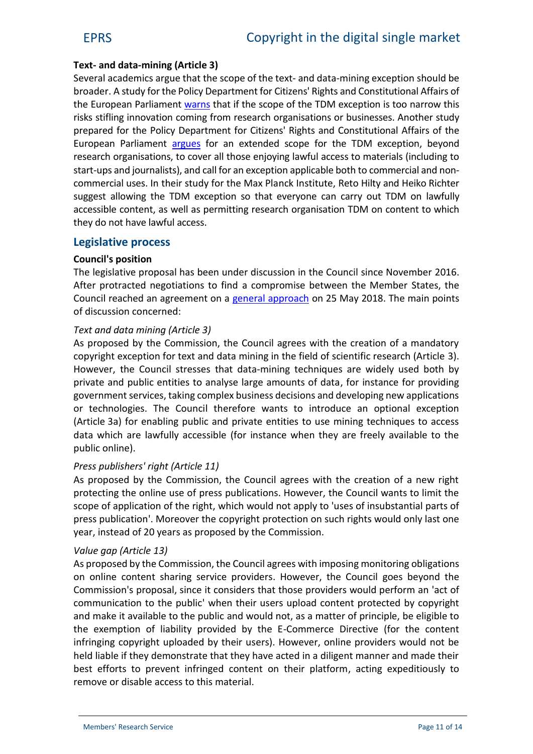## **Text- and data-mining (Article 3)**

Several academics argue that the scope of the text- and data-mining exception should be broader. A study for the Policy Department for Citizens' Rights and Constitutional Affairs of the European Parliament [warns](http://www.europarl.europa.eu/RegData/etudes/BRIE/2018/604942/IPOL_BRI(2018)604942_EN.pdf) that if the scope of the TDM exception is too narrow this risks stifling innovation coming from research organisations or businesses. Another study prepared for the Policy Department for Citizens' Rights and Constitutional Affairs of the European Parliament [argues](http://www.europarl.europa.eu/RegData/etudes/IDAN/2018/604941/IPOL_IDA(2018)604941_EN.pdf) for an extended scope for the TDM exception, beyond research organisations, to cover all those enjoying lawful access to materials (including to start-ups and journalists), and call for an exception applicable both to commercial and non commercial uses. In their study for the Max Planck Institute, Reto Hilty and Heiko Richter suggest allowing the TDM exception so that everyone can carry out TDM on lawfully accessible content, as well as permitting research organisation TDM on content to which they do not have lawful access.

## **Legislative process**

#### **Council's position**

The legislative proposal has been under discussion in the Council since November 2016. After protracted negotiations to find a compromise between the Member States, the Council reached an agreement on a [general approach](http://www.consilium.europa.eu/media/35373/st09134-en18.pdf) on 25 May 2018. The main points of discussion concerned:

## *Text and data mining (Article 3)*

As proposed by the Commission, the Council agrees with the creation of a mandatory copyright exception for text and data mining in the field of scientific research (Article 3). However, the Council stresses that data-mining techniques are widely used both by private and public entities to analyse large amounts of data, for instance for providing government services, taking complex business decisions and developing new applications or technologies. The Council therefore wants to introduce an optional exception (Article 3a) for enabling public and private entities to use mining techniques to access data which are lawfully accessible (for instance when they are freely available to the public online).

#### *Press publishers' right (Article 11)*

As proposed by the Commission, the Council agrees with the creation of a new right protecting the online use of press publications. However, the Council wants to limit the scope of application of the right, which would not apply to 'uses of insubstantial parts of press publication'. Moreover the copyright protection on such rights would only last one year, instead of 20 years as proposed by the Commission.

#### *Value gap (Article 13)*

As proposed by the Commission, the Council agrees with imposing monitoring obligations on online content sharing service providers. However, the Council goes beyond the Commission's proposal, since it considers that those providers would perform an 'act of communication to the public' when their users upload content protected by copyright and make it available to the public and would not, as a matter of principle, be eligible to the exemption of liability provided by the E-Commerce Directive (for the content infringing copyright uploaded by their users). However, online providers would not be held liable if they demonstrate that they have acted in a diligent manner and made their best efforts to prevent infringed content on their platform, acting expeditiously to remove or disable access to this material.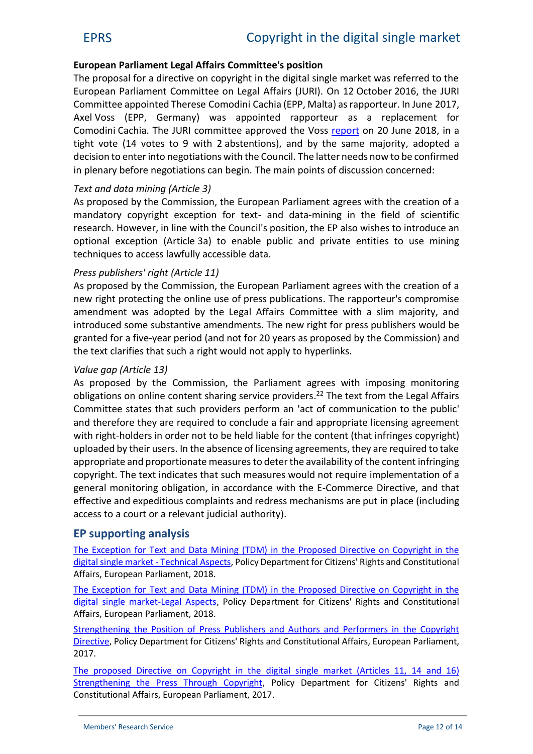## **European Parliament Legal Affairs Committee's position**

The proposal for a directive on copyright in the digital single market was referred to the European Parliament Committee on Legal Affairs (JURI). On 12 October 2016, the JURI Committee appointed Therese Comodini Cachia (EPP, Malta) as rapporteur. In June 2017, Axel Voss (EPP, Germany) was appointed rapporteur as a replacement for Comodini Cachia. The JURI committee approved the Voss [report](http://www.europarl.europa.eu/sides/getDoc.do?type=REPORT&mode=XML&reference=A8-2018-0245&language=EN) on 20 June 2018, in a tight vote (14 votes to 9 with 2 abstentions), and by the same majority, adopted a decision to enter into negotiations with the Council. The latter needs now to be confirmed in plenary before negotiations can begin. The main points of discussion concerned:

## *Text and data mining (Article 3)*

As proposed by the Commission, the European Parliament agrees with the creation of a mandatory copyright exception for text- and data-mining in the field of scientific research. However, in line with the Council's position, the EP also wishes to introduce an optional exception (Article 3a) to enable public and private entities to use mining techniques to access lawfully accessible data.

## *Press publishers' right (Article 11)*

As proposed by the Commission, the European Parliament agrees with the creation of a new right protecting the online use of press publications. The rapporteur's compromise amendment was adopted by the Legal Affairs Committee with a slim majority, and introduced some substantive amendments. The new right for press publishers would be granted for a five-year period (and not for 20 years as proposed by the Commission) and the text clarifies that such a right would not apply to hyperlinks.

#### *Value gap (Article 13)*

As proposed by the Commission, the Parliament agrees with imposing monitoring obligations on online content sharing service providers.<sup>22</sup> The text from the Legal Affairs Committee states that such providers perform an 'act of communication to the public' and therefore they are required to conclude a fair and appropriate licensing agreement with right-holders in order not to be held liable for the content (that infringes copyright) uploaded by their users. In the absence of licensing agreements, they are required to take appropriate and proportionate measuresto deter the availability of the content infringing copyright. The text indicates that such measures would not require implementation of a general monitoring obligation, in accordance with the E-Commerce Directive, and that effective and expeditious complaints and redress mechanisms are put in place (including access to a court or a relevant judicial authority).

## **EP supporting analysis**

[The Exception for Text and Data Mining \(TDM\) in the Proposed Directive on Copyright in the](http://www.europarl.europa.eu/RegData/etudes/BRIE/2018/604942/IPOL_BRI(2018)604942_EN.pdf) [digital single market](http://www.europarl.europa.eu/RegData/etudes/BRIE/2018/604942/IPOL_BRI(2018)604942_EN.pdf) - Technical Aspects, Policy Department for Citizens' Rights and Constitutional Affairs, European Parliament, 2018.

The Exception for [Text and Data Mining \(TDM\) in the Proposed Directive on Copyright in the](http://www.europarl.europa.eu/RegData/etudes/IDAN/2018/604941/IPOL_IDA(2018)604941_EN.pdf) [digital single market-Legal Aspects,](http://www.europarl.europa.eu/RegData/etudes/IDAN/2018/604941/IPOL_IDA(2018)604941_EN.pdf) Policy Department for Citizens' Rights and Constitutional Affairs, European Parliament, 2018.

[Strengthening the Position of Press Publishers and Authors and Performers in the Copyright](http://www.refreg.ep.parl.union.eu/RegData/etudes/STUD/2017/596810/IPOL_STU(2017)596810_EN.pdf) [Directive,](http://www.refreg.ep.parl.union.eu/RegData/etudes/STUD/2017/596810/IPOL_STU(2017)596810_EN.pdf) Policy Department for Citizens' Rights and Constitutional Affairs, European Parliament, 2017.

[The proposed Directive on Copyright in the](http://www.refreg.ep.parl.union.eu/RegData/etudes/BRIE/2017/596835/IPOL_BRI(2017)596835_EN.pdf) digital single market (Articles 11, 14 and 16) [Strengthening the Press Through Copyright,](http://www.refreg.ep.parl.union.eu/RegData/etudes/BRIE/2017/596835/IPOL_BRI(2017)596835_EN.pdf) Policy Department for Citizens' Rights and Constitutional Affairs, European Parliament, 2017.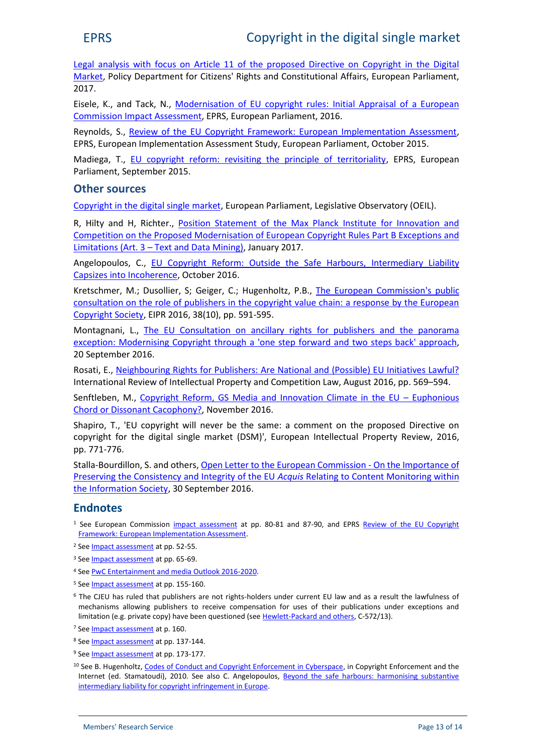Legal analysis [with focus on Article 11 of the proposed Directive on Copyright in the Digital](http://www.refreg.ep.parl.union.eu/RegData/etudes/BRIE/2017/596834/IPOL_BRI(2017)596834_EN.pdf) [Market,](http://www.refreg.ep.parl.union.eu/RegData/etudes/BRIE/2017/596834/IPOL_BRI(2017)596834_EN.pdf) Policy Department for Citizens' Rights and Constitutional Affairs, European Parliament, 2017.

Eisele, K., and Tack, N., [Modernisation of EU copyright rules: Initial Appraisal of a European](http://www.eprs.sso.ep.parl.union.eu/lis/lisrep/13-EPRS-publications/2016/EPRS_BRIE_593799_Modernisation_EU_copyright_rules.pdf) [Commission Impact Assessment,](http://www.eprs.sso.ep.parl.union.eu/lis/lisrep/13-EPRS-publications/2016/EPRS_BRIE_593799_Modernisation_EU_copyright_rules.pdf) EPRS, European Parliament, 2016.

Reynolds, S., [Review of the EU Copyright Framework: European Implementation Assessment,](http://www.europarl.europa.eu/RegData/etudes/STUD/2015/558762/EPRS_STU(2015)558762_EN.pdf) EPRS, European Implementation Assessment Study, European Parliament, October 2015.

Madiega, T., [EU copyright reform: revisiting the principle of territoriality,](http://www.europarl.europa.eu/RegData/etudes/BRIE/2015/568348/EPRS_BRI%282015%29568348_EN.pdf) EPRS, European Parliament, September 2015.

#### **Other sources**

[Copyright in the digital single market,](http://www.europarl.europa.eu/oeil/popups/ficheprocedure.do?reference=2016/0280(COD)&l=en) European Parliament, Legislative Observatory (OEIL).

R, Hilty and H, Richter., [Position Statement of the Max Planck Institute for Innovation and](https://papers.ssrn.com/sol3/papers.cfm?abstract_id=2900110) [Competition on the Proposed Modernisation of European Copyright Rules Part B Exceptions and](https://papers.ssrn.com/sol3/papers.cfm?abstract_id=2900110) Limitations (Art. 3 – [Text and Data Mining\),](https://papers.ssrn.com/sol3/papers.cfm?abstract_id=2900110) January 2017.

Angelopoulos, C., [EU Copyright Reform: Outside the Safe](http://kluwercopyrightblog.com/2016/10/06/eu-copyright-reform-outside-safe-harbours-intermediary-liability-capsizes-incoherence/) Harbours, Intermediary Liability [Capsizes into Incoherence,](http://kluwercopyrightblog.com/2016/10/06/eu-copyright-reform-outside-safe-harbours-intermediary-liability-capsizes-incoherence/) October 2016.

Kretschmer, M.; Dusollier, S; Geiger, C.; Hugenholtz, P.B., [The European Commission's public](https://zenodo.org/record/56650/files/CREATe-Working-Paper-2016-09.pdf) [consultation on the role of publishers in the copyright value chain: a response by the European](https://zenodo.org/record/56650/files/CREATe-Working-Paper-2016-09.pdf) [Copyright Society,](https://zenodo.org/record/56650/files/CREATe-Working-Paper-2016-09.pdf) EIPR 2016, 38(10), pp. 591-595.

Montagnani, L., [The EU Consultation on ancillary rights for publishers and the panorama](http://kluwercopyrightblog.com/2016/09/20/the-eu-consultation-on-ancillary-rights-for-publishers-and-the-panorama-exception-modernising-copyright-through-a-one-step-forward-and-two-steps-back-approach/) [exception: Modernising Copyright through a](http://kluwercopyrightblog.com/2016/09/20/the-eu-consultation-on-ancillary-rights-for-publishers-and-the-panorama-exception-modernising-copyright-through-a-one-step-forward-and-two-steps-back-approach/) 'one step forward and two steps back' approach, 20 September 2016.

Rosati, E., [Neighbouring Rights for Publishers: Are National and \(Possible\) EU Initiatives Lawful?](http://link.springer.com/article/10.1007/s40319-016-0495-4) International Review of Intellectual Property and Competition Law, August 2016, pp. 569–594.

Senftleben, M., [Copyright Reform, GS Media and Innovation Climate in the EU](https://papers.ssrn.com/sol3/papers.cfm?abstract_id=2865258) – Euphonious [Chord or Dissonant Cacophony?,](https://papers.ssrn.com/sol3/papers.cfm?abstract_id=2865258) November 2016.

Shapiro, T., 'EU copyright will never be the same: a comment on the proposed Directive on copyright for the digital single market (DSM)', European Intellectual Property Review, 2016, pp. 771-776.

Stalla-Bourdillon, S. and others, [Open Letter to the European Commission](http://papers.ssrn.com/sol3/papers.cfm?abstract_id=2850483) - On the Importance of [Preserving the Consistency and Integrity of the EU](http://papers.ssrn.com/sol3/papers.cfm?abstract_id=2850483) *Acquis* Relating to Content Monitoring within [the Information Society,](http://papers.ssrn.com/sol3/papers.cfm?abstract_id=2850483) 30 September 2016.

# **Endnotes**

- <sup>1</sup> See European Commission *impact [assessment](https://ec.europa.eu/digital-single-market/en/news/impact-assessment-modernisation-eu-copyright-rules)* at pp. 80-81 and 87-90, and EPRS [Review of the EU Copyright](http://www.europarl.europa.eu/RegData/etudes/STUD/2015/558762/EPRS_STU(2015)558762_EN.pdf) [Framework: European Implementation Assessment](http://www.europarl.europa.eu/RegData/etudes/STUD/2015/558762/EPRS_STU(2015)558762_EN.pdf).
- <sup>2</sup> See **[Impact assessment](https://ec.europa.eu/digital-single-market/en/news/impact-assessment-modernisation-eu-copyright-rules)** at pp. 52-55.
- <sup>3</sup> See **[Impact assessment](https://ec.europa.eu/digital-single-market/en/news/impact-assessment-modernisation-eu-copyright-rules)** at pp. 65-69.
- <sup>4</sup> See [PwC Entertainment and media Outlook 2016-2020.](http://www.pwc.com/gx/en/industries/entertainment-media/outlook/segment-insights/newspaper-publishing.html)
- <sup>5</sup> See **[Impact assessment](https://ec.europa.eu/digital-single-market/en/news/impact-assessment-modernisation-eu-copyright-rules)** at pp. 155-160.
- <sup>6</sup> The CJEU has ruled that publishers are not rights-holders under current EU law and as a result the lawfulness of mechanisms allowing publishers to receive compensation for uses of their publications under exceptions and limitation (e.g. private copy) have been questioned (see [Hewlett-Packard and others,](http://curia.europa.eu/juris/document/document.jsf?docid=171384&doclang=EN) C-572/13).
- <sup>7</sup> See **[Impact assessment](https://ec.europa.eu/digital-single-market/en/news/impact-assessment-modernisation-eu-copyright-rules)** at p. 160.
- <sup>8</sup> See [Impact assessment](https://ec.europa.eu/digital-single-market/en/news/impact-assessment-modernisation-eu-copyright-rules) at pp. 137-144.
- <sup>9</sup> See **[Impact assessment](https://ec.europa.eu/digital-single-market/en/news/impact-assessment-modernisation-eu-copyright-rules)** at pp. 173-177.
- <sup>10</sup> See B. Hugenholtz, [Codes of Conduct and Copyright Enforcement in Cyberspace,](http://www.ivir.nl/publicaties/download/919) in Copyright Enforcement and the Internet (ed. Stamatoudi), 2010. See also C. Angelopoulos, [Beyond the safe harbours: harmonising substantive](http://www.ivir.nl/publicaties/download/1087) [intermediary liability for copyright infringement in Europe](http://www.ivir.nl/publicaties/download/1087).